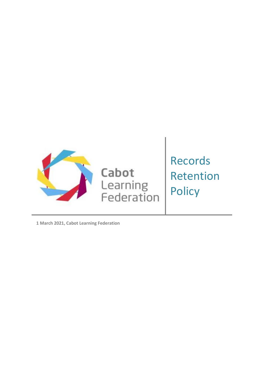

**1 March 2021, Cabot Learning Federation**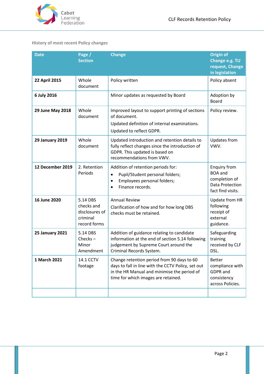

# <span id="page-1-0"></span>**History of most recent Policy changes**

| <b>Date</b>             | Page /<br><b>Section</b>                                             | <b>Change</b>                                                                                                                                                                          | <b>Origin of</b><br>Change e.g. TU<br>request, Change<br>in legislation                               |
|-------------------------|----------------------------------------------------------------------|----------------------------------------------------------------------------------------------------------------------------------------------------------------------------------------|-------------------------------------------------------------------------------------------------------|
| 22 April 2015           | Whole<br>document                                                    | Policy written                                                                                                                                                                         | Policy absent                                                                                         |
| 6 July 2016             |                                                                      | Minor updates as requested by Board                                                                                                                                                    | Adoption by<br><b>Board</b>                                                                           |
| <b>29 June May 2018</b> | Whole<br>document                                                    | Improved layout to support printing of sections<br>of document.<br>Updated definition of internal examinations.<br>Updated to reflect GDPR.                                            | Policy review.                                                                                        |
| <b>29 January 2019</b>  | Whole<br>document                                                    | Updated introduction and retention details to<br>fully reflect changes since the introduction of<br>GDPR. This updated is based on<br>recommendations from VWV.                        | Updates from<br>VWV.                                                                                  |
| 12 December 2019        | 2. Retention<br>Periods                                              | Addition of retention periods for:<br>Pupil/Student personal folders;<br>$\bullet$<br>Employees personal folders;<br>$\bullet$<br>Finance records.                                     | <b>Enquiry from</b><br><b>BOA</b> and<br>completion of<br><b>Data Protection</b><br>fact find visits. |
| 16 June 2020            | 5.14 DBS<br>checks and<br>disclosures of<br>criminal<br>record forms | <b>Annual Review</b><br>Clarification of how and for how long DBS<br>checks must be retained.                                                                                          | Update from HR<br>following<br>receipt of<br>external<br>guidance.                                    |
| <b>25 January 2021</b>  | 5.14 DBS<br>$Checks -$<br>Minor<br>Amendment                         | Addition of guidance relating to candidate<br>information at the end of section 5.14 following<br>judgement by Supreme Court around the<br>Criminal Records System.                    | Safeguarding<br>training<br>received by CLF<br>DSL.                                                   |
| 1 March 2021            | 14.1 CCTV<br>footage                                                 | Change retention period from 90 days to 60<br>days to fall in line with the CCTV Policy, set out<br>in the HR Manual and minimise the period of<br>time for which images are retained. | <b>Better</b><br>compliance with<br>GDPR and<br>consistency<br>across Policies.                       |
|                         |                                                                      |                                                                                                                                                                                        |                                                                                                       |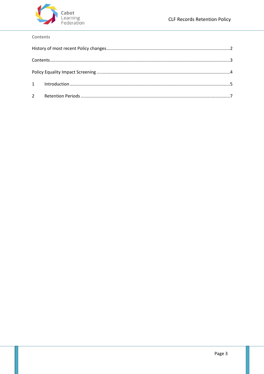

### <span id="page-2-0"></span>Contents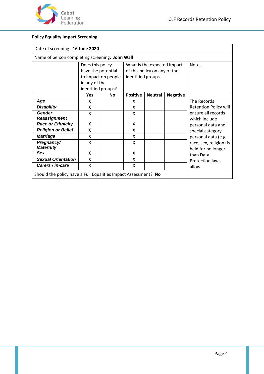

## **Policy Equality Impact Screening**

| Date of screening: 16 June 2020                                |                                                                                                      |           |                                                                                  |                |                 |                                               |
|----------------------------------------------------------------|------------------------------------------------------------------------------------------------------|-----------|----------------------------------------------------------------------------------|----------------|-----------------|-----------------------------------------------|
| Name of person completing screening: John Wall                 |                                                                                                      |           |                                                                                  |                |                 |                                               |
|                                                                | Does this policy<br>have the potential<br>to impact on people<br>in any of the<br>identified groups? |           | What is the expected impact<br>of this policy on any of the<br>identified groups |                | <b>Notes</b>    |                                               |
|                                                                | <b>Yes</b>                                                                                           | <b>No</b> | <b>Positive</b>                                                                  | <b>Neutral</b> | <b>Negative</b> |                                               |
| Age                                                            | x                                                                                                    |           | X                                                                                |                |                 | The Records                                   |
| <b>Disability</b>                                              | X                                                                                                    |           | X                                                                                |                |                 | <b>Retention Policy will</b>                  |
| <b>Gender</b><br><b>Reassignment</b>                           | X                                                                                                    |           | X                                                                                |                |                 | ensure all records<br>which include           |
| <b>Race or Ethnicity</b>                                       | X                                                                                                    |           | X                                                                                |                |                 | personal data and                             |
| <b>Religion or Belief</b>                                      | X                                                                                                    |           | X                                                                                |                |                 | special category                              |
| <b>Marriage</b>                                                | X                                                                                                    |           | X                                                                                |                |                 | personal data (e.g.                           |
| Pregnancy/<br><b>Maternity</b>                                 | X                                                                                                    |           | X                                                                                |                |                 | race, sex, religion) is<br>held for no longer |
| Sex                                                            | Χ                                                                                                    |           | X                                                                                |                |                 | than Data                                     |
| <b>Sexual Orientation</b>                                      | X                                                                                                    |           | X                                                                                |                |                 | <b>Protection laws</b>                        |
| Carers / in-care                                               | X                                                                                                    |           | X                                                                                |                |                 | allow.                                        |
| Should the policy have a Full Equalities Impact Assessment? No |                                                                                                      |           |                                                                                  |                |                 |                                               |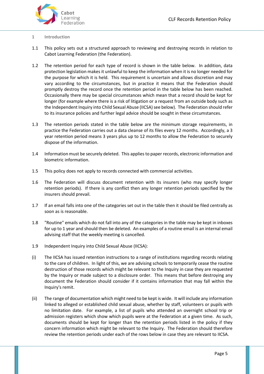

#### <span id="page-4-0"></span>**1 Introduction**

- 1.1 This policy sets out a structured approach to reviewing and destroying records in relation to Cabot Learning Federation (the Federation).
- 1.2 The retention period for each type of record is shown in the table below. In addition, data protection legislation makes it unlawful to keep the information when it is no longer needed for the purpose for which it is held. This requirement is uncertain and allows discretion and may vary according to the circumstances, but in practice it means that the Federation should promptly destroy the record once the retention period in the table below has been reached. Occasionally there may be special circumstances which mean that a record should be kept for longer (for example where there is a risk of litigation or a request from an outside body such as the Independent Inquiry into Child Sexual Abuse (IICSA) see below). The Federation should refer to its insurance policies and further legal advice should be sought in these circumstances.
- 1.3 The retention periods stated in the table below are the minimum storage requirements, in practice the Federation carries out a data cleanse of its files every 12 months. Accordingly, a 3 year retention period means 3 years plus up to 12 months to allow the Federation to securely dispose of the information.
- 1.4 Information must be securely deleted. This applies to paper records, electronic information and biometric information.
- 1.5 This policy does not apply to records connected with commercial activities.
- 1.6 The Federation will discuss document retention with its insurers (who may specify longer retention periods). If there is any conflict then any longer retention periods specified by the insurers should prevail.
- 1.7 If an email falls into one of the categories set out in the table then it should be filed centrally as soon as is reasonable.
- 1.8 "Routine" emails which do not fall into any of the categories in the table may be kept in inboxes for up to 1 year and should then be deleted. An examples of a routine email is an internal email advising staff that the weekly meeting is cancelled.
- 1.9 Independent Inquiry into Child Sexual Abuse (IICSA):
- (i) The IICSA has issued retention instructions to a range of institutions regarding records relating to the care of children. In light of this, we are advising schools to temporarily cease the routine destruction of those records which might be relevant to the Inquiry in case they are requested by the Inquiry or made subject to a disclosure order. This means that before destroying any document the Federation should consider if it contains information that may fall within the Inquiry's remit.
- (ii) The range of documentation which might need to be kept is wide. It will include any information linked to alleged or established child sexual abuse, whether by staff, volunteers or pupils with no limitation date. For example, a list of pupils who attended an overnight school trip or admission registers which show which pupils were at the Federation at a given time. As such, documents should be kept for longer than the retention periods listed in the policy if they concern information which might be relevant to the Inquiry. The Federation should therefore review the retention periods under each of the rows below in case they are relevant to IICSA.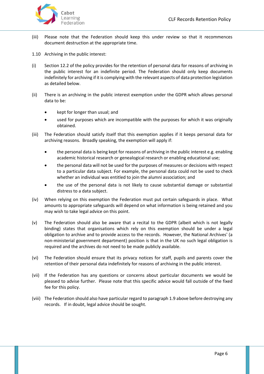

- (iii) Please note that the Federation should keep this under review so that it recommences document destruction at the appropriate time.
- 1.10 Archiving in the public interest:
- (i) Section 12.2 of the policy provides for the retention of personal data for reasons of archiving in the public interest for an indefinite period. The Federation should only keep documents indefinitely for archiving if it is complying with the relevant aspects of data protection legislation as detailed below.
- (ii) There is an archiving in the public interest exemption under the GDPR which allows personal data to be:
	- kept for longer than usual; and
	- used for purposes which are incompatible with the purposes for which it was originally obtained.
- (iii) The Federation should satisfy itself that this exemption applies if it keeps personal data for archiving reasons. Broadly speaking, the exemption will apply if:
	- the personal data is being kept for reasons of archiving in the public interest e.g. enabling academic historical research or genealogical research or enabling educational use;
	- the personal data will not be used for the purposes of measures or decisions with respect to a particular data subject. For example, the personal data could not be used to check whether an individual was entitled to join the alumni association; and
	- the use of the personal data is not likely to cause substantial damage or substantial distress to a data subject.
- (iv) When relying on this exemption the Federation must put certain safeguards in place. What amounts to appropriate safeguards will depend on what information is being retained and you may wish to take legal advice on this point.
- (v) The Federation should also be aware that a recital to the GDPR (albeit which is not legally binding) states that organisations which rely on this exemption should be under a legal obligation to archive and to provide access to the records. However, the National Archives' (a non-ministerial government department) position is that in the UK no such legal obligation is required and the archives do not need to be made publicly available.
- (vi) The Federation should ensure that its privacy notices for staff, pupils and parents cover the retention of their personal data indefinitely for reasons of archiving in the public interest.
- (vii) If the Federation has any questions or concerns about particular documents we would be pleased to advise further. Please note that this specific advice would fall outside of the fixed fee for this policy.
- (viii) The Federation should also have particular regard to paragraph 1.9 above before destroying any records. If in doubt, legal advice should be sought.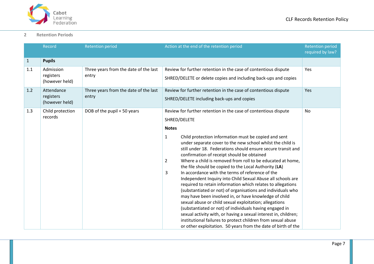

#### **2 Retention Periods**

<span id="page-6-0"></span>

|              | Record                                    | <b>Retention period</b>                        | Action at the end of the retention period                                                                                                                                                                                                                                                                                                                                                                                                                                                                                                                                                                                                                                                                                                                                                                                                                                                                                                                                                                                              | <b>Retention period</b><br>required by law? |
|--------------|-------------------------------------------|------------------------------------------------|----------------------------------------------------------------------------------------------------------------------------------------------------------------------------------------------------------------------------------------------------------------------------------------------------------------------------------------------------------------------------------------------------------------------------------------------------------------------------------------------------------------------------------------------------------------------------------------------------------------------------------------------------------------------------------------------------------------------------------------------------------------------------------------------------------------------------------------------------------------------------------------------------------------------------------------------------------------------------------------------------------------------------------------|---------------------------------------------|
| $\mathbf{1}$ | <b>Pupils</b>                             |                                                |                                                                                                                                                                                                                                                                                                                                                                                                                                                                                                                                                                                                                                                                                                                                                                                                                                                                                                                                                                                                                                        |                                             |
| 1.1          | Admission<br>registers<br>(however held)  | Three years from the date of the last<br>entry | Review for further retention in the case of contentious dispute<br>SHRED/DELETE or delete copies and including back-ups and copies                                                                                                                                                                                                                                                                                                                                                                                                                                                                                                                                                                                                                                                                                                                                                                                                                                                                                                     | Yes                                         |
| 1.2          | Attendance<br>registers<br>(however held) | Three years from the date of the last<br>entry | Review for further retention in the case of contentious dispute<br>SHRED/DELETE including back-ups and copies                                                                                                                                                                                                                                                                                                                                                                                                                                                                                                                                                                                                                                                                                                                                                                                                                                                                                                                          | Yes                                         |
| 1.3          | Child protection<br>records               | DOB of the pupil + 50 years                    | Review for further retention in the case of contentious dispute<br>SHRED/DELETE                                                                                                                                                                                                                                                                                                                                                                                                                                                                                                                                                                                                                                                                                                                                                                                                                                                                                                                                                        | <b>No</b>                                   |
|              |                                           |                                                | <b>Notes</b><br>Child protection information must be copied and sent<br>1<br>under separate cover to the new school whilst the child is<br>still under 18. Federations should ensure secure transit and<br>confirmation of receipt should be obtained<br>Where a child is removed from roll to be educated at home,<br>$\overline{2}$<br>the file should be copied to the Local Authority (LA)<br>3<br>In accordance with the terms of reference of the<br>Independent Inquiry into Child Sexual Abuse all schools are<br>required to retain information which relates to allegations<br>(substantiated or not) of organisations and individuals who<br>may have been involved in, or have knowledge of child<br>sexual abuse or child sexual exploitation; allegations<br>(substantiated or not) of individuals having engaged in<br>sexual activity with, or having a sexual interest in, children;<br>institutional failures to protect children from sexual abuse<br>or other exploitation. 50 years from the date of birth of the |                                             |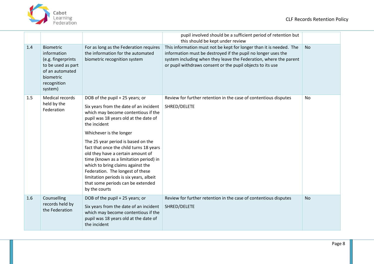

|     |                                                                                                                                       |                                                                                                                                                                                                                                                                                                                                        | pupil involved should be a sufficient period of retention but<br>this should be kept under review                                                                                                                                                                       |           |
|-----|---------------------------------------------------------------------------------------------------------------------------------------|----------------------------------------------------------------------------------------------------------------------------------------------------------------------------------------------------------------------------------------------------------------------------------------------------------------------------------------|-------------------------------------------------------------------------------------------------------------------------------------------------------------------------------------------------------------------------------------------------------------------------|-----------|
| 1.4 | <b>Biometric</b><br>information<br>(e.g. fingerprints<br>to be used as part<br>of an automated<br>biometric<br>recognition<br>system) | For as long as the Federation requires<br>the information for the automated<br>biometric recognition system                                                                                                                                                                                                                            | This information must not be kept for longer than it is needed. The<br>information must be destroyed if the pupil no longer uses the<br>system including when they leave the Federation, where the parent<br>or pupil withdraws consent or the pupil objects to its use | <b>No</b> |
| 1.5 | Medical records                                                                                                                       | DOB of the pupil + 25 years; or                                                                                                                                                                                                                                                                                                        | Review for further retention in the case of contentious disputes                                                                                                                                                                                                        | <b>No</b> |
|     | held by the<br>Federation                                                                                                             | Six years from the date of an incident<br>which may become contentious if the<br>pupil was 18 years old at the date of<br>the incident                                                                                                                                                                                                 | SHRED/DELETE                                                                                                                                                                                                                                                            |           |
|     |                                                                                                                                       | Whichever is the longer                                                                                                                                                                                                                                                                                                                |                                                                                                                                                                                                                                                                         |           |
|     |                                                                                                                                       | The 25 year period is based on the<br>fact that once the child turns 18 years<br>old they have a certain amount of<br>time (known as a limitation period) in<br>which to bring claims against the<br>Federation. The longest of these<br>limitation periods is six years, albeit<br>that some periods can be extended<br>by the courts |                                                                                                                                                                                                                                                                         |           |
| 1.6 | Counselling                                                                                                                           | DOB of the pupil + 25 years; or                                                                                                                                                                                                                                                                                                        | Review for further retention in the case of contentious disputes                                                                                                                                                                                                        | <b>No</b> |
|     | records held by<br>the Federation                                                                                                     | Six years from the date of an incident<br>which may become contentious if the<br>pupil was 18 years old at the date of<br>the incident                                                                                                                                                                                                 | SHRED/DELETE                                                                                                                                                                                                                                                            |           |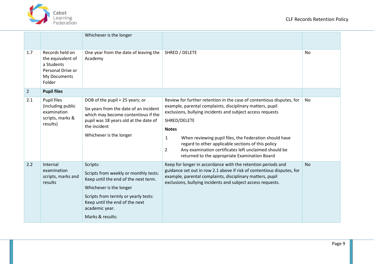

|                |                                                                                                   | Whichever is the longer                                                                                                                                                                                                              |                                                                                                                                                                                                                                                                                                                                                                                                                                                                                   |           |
|----------------|---------------------------------------------------------------------------------------------------|--------------------------------------------------------------------------------------------------------------------------------------------------------------------------------------------------------------------------------------|-----------------------------------------------------------------------------------------------------------------------------------------------------------------------------------------------------------------------------------------------------------------------------------------------------------------------------------------------------------------------------------------------------------------------------------------------------------------------------------|-----------|
| 1.7            | Records held on<br>the equivalent of<br>a Students<br>Personal Drive or<br>My Documents<br>Folder | One year from the date of leaving the<br>Academy                                                                                                                                                                                     | SHRED / DELETE                                                                                                                                                                                                                                                                                                                                                                                                                                                                    | No        |
| $\overline{2}$ | <b>Pupil files</b>                                                                                |                                                                                                                                                                                                                                      |                                                                                                                                                                                                                                                                                                                                                                                                                                                                                   |           |
| 2.1            | Pupil files<br>(including public<br>examination<br>scripts, marks &<br>results)                   | DOB of the pupil + 25 years; or<br>Six years from the date of an incident<br>which may become contentious if the<br>pupil was 18 years old at the date of<br>the incident<br>Whichever is the longer                                 | Review for further retention in the case of contentious disputes, for<br>example, parental complaints, disciplinary matters, pupil<br>exclusions, bullying incidents and subject access requests<br>SHRED/DELETE<br><b>Notes</b><br>When reviewing pupil files, the Federation should have<br>1<br>regard to other applicable sections of this policy<br>Any examination certificates left unclaimed should be<br>$\overline{2}$<br>returned to the appropriate Examination Board | <b>No</b> |
| 2.2            | Internal<br>examination<br>scripts, marks and<br>results                                          | Scripts:<br>Scripts from weekly or monthly tests:<br>Keep until the end of the next term.<br>Whichever is the longer<br>Scripts from termly or yearly tests:<br>Keep until the end of the next<br>academic year.<br>Marks & results: | Keep for longer in accordance with the retention periods and<br>guidance set out in row 2.1 above if risk of contentious disputes, for<br>example, parental complaints, disciplinary matters, pupil<br>exclusions, bullying incidents and subject access requests.                                                                                                                                                                                                                | <b>No</b> |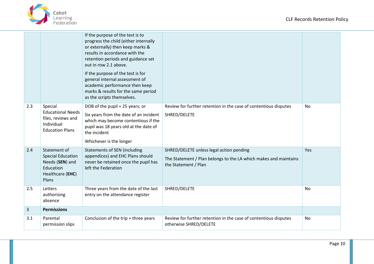



|     |                                                                                                       | If the purpose of the test is to<br>progress the child (either internally<br>or externally) then keep marks &<br>results in accordance with the<br>retention periods and guidance set<br>out in row 2.1 above.<br>If the purpose of the test is for<br>general internal assessment of<br>academic performance then keep<br>marks & results for the same period<br>as the scripts themselves. |                                                                                                                                      |     |
|-----|-------------------------------------------------------------------------------------------------------|----------------------------------------------------------------------------------------------------------------------------------------------------------------------------------------------------------------------------------------------------------------------------------------------------------------------------------------------------------------------------------------------|--------------------------------------------------------------------------------------------------------------------------------------|-----|
| 2.3 | Special<br><b>Educational Needs</b><br>files, reviews and<br>Individual<br><b>Education Plans</b>     | DOB of the pupil + 25 years; or<br>Six years from the date of an incident<br>which may become contentious if the<br>pupil was 18 years old at the date of<br>the incident<br>Whichever is the longer                                                                                                                                                                                         | Review for further retention in the case of contentious disputes<br>SHRED/DELETE                                                     | No  |
| 2.4 | Statement of<br><b>Special Education</b><br>Needs (SEN) and<br>Education<br>Healthcare (EHC)<br>Plans | <b>Statements of SEN (including</b><br>appendices) and EHC Plans should<br>never be retained once the pupil has<br>left the Federation                                                                                                                                                                                                                                                       | SHRED/DELETE unless legal action pending<br>The Statement / Plan belongs to the LA which makes and maintains<br>the Statement / Plan | Yes |
| 2.5 | Letters<br>authorising<br>absence                                                                     | Three years from the date of the last<br>entry on the attendance register                                                                                                                                                                                                                                                                                                                    | SHRED/DELETE                                                                                                                         | No  |
| 3   | <b>Permissions</b>                                                                                    |                                                                                                                                                                                                                                                                                                                                                                                              |                                                                                                                                      |     |
| 3.1 | Parental<br>permission slips                                                                          | Conclusion of the trip + three years                                                                                                                                                                                                                                                                                                                                                         | Review for further retention in the case of contentious disputes<br>otherwise SHRED/DELETE                                           | No  |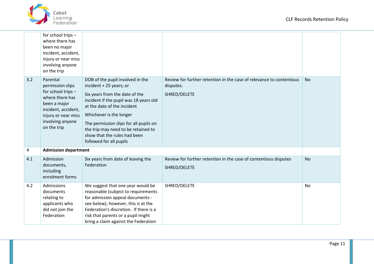

|                | for school trips -<br>where there has<br>been no major<br>incident, accident,<br>injury or near miss<br>involving anyone<br>on the trip                                |                                                                                                                                                                                                                                                                                                                                               |                                                                                                   |           |
|----------------|------------------------------------------------------------------------------------------------------------------------------------------------------------------------|-----------------------------------------------------------------------------------------------------------------------------------------------------------------------------------------------------------------------------------------------------------------------------------------------------------------------------------------------|---------------------------------------------------------------------------------------------------|-----------|
| 3.2            | Parental<br>permission slips<br>for school trips -<br>where there has<br>been a major<br>incident, accident,<br>injury or near miss<br>involving anyone<br>on the trip | DOB of the pupil involved in the<br>incident + 25 years; or<br>Six years from the date of the<br>incident if the pupil was 18 years old<br>at the date of the incident<br>Whichever is the longer<br>The permission slips for all pupils on<br>the trip may need to be retained to<br>show that the rules had been<br>followed for all pupils | Review for further retention in the case of relevance to contentious<br>disputes.<br>SHRED/DELETE | <b>No</b> |
| $\overline{a}$ | <b>Admission department</b>                                                                                                                                            |                                                                                                                                                                                                                                                                                                                                               |                                                                                                   |           |
| 4.1            | Admission<br>documents,<br>including<br>enrolment forms                                                                                                                | Six years from date of leaving the<br>Federation                                                                                                                                                                                                                                                                                              | Review for further retention in the case of contentious disputes<br>SHRED/DELETE                  | <b>No</b> |
| 4.2            | Admissions<br>documents<br>relating to<br>applicants who<br>did not join the<br>Federation                                                                             | We suggest that one year would be<br>reasonable (subject to requirements<br>for admission appeal documents -<br>see below), however, this is at the<br>Federation's discretion. If there is a<br>risk that parents or a pupil might<br>bring a claim against the Federation                                                                   | SHRED/DELETE                                                                                      | No        |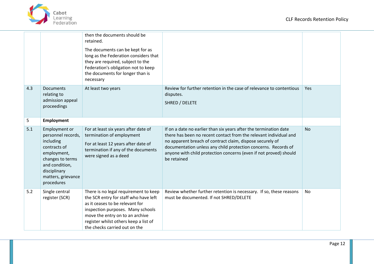



|     |                                                                                                                                                                           | then the documents should be<br>retained.<br>The documents can be kept for as<br>long as the Federation considers that<br>they are required, subject to the<br>Federation's obligation not to keep<br>the documents for longer than is<br>necessary                 |                                                                                                                                                                                                                                                                                                                                                           |            |
|-----|---------------------------------------------------------------------------------------------------------------------------------------------------------------------------|---------------------------------------------------------------------------------------------------------------------------------------------------------------------------------------------------------------------------------------------------------------------|-----------------------------------------------------------------------------------------------------------------------------------------------------------------------------------------------------------------------------------------------------------------------------------------------------------------------------------------------------------|------------|
| 4.3 | <b>Documents</b><br>relating to<br>admission appeal<br>proceedings                                                                                                        | At least two years                                                                                                                                                                                                                                                  | Review for further retention in the case of relevance to contentious<br>disputes.<br>SHRED / DELETE                                                                                                                                                                                                                                                       | <b>Yes</b> |
| 5   | <b>Employment</b>                                                                                                                                                         |                                                                                                                                                                                                                                                                     |                                                                                                                                                                                                                                                                                                                                                           |            |
| 5.1 | Employment or<br>personnel records,<br>including<br>contracts of<br>employment,<br>changes to terms<br>and condition,<br>disciplinary<br>matters, grievance<br>procedures | For at least six years after date of<br>termination of employment<br>For at least 12 years after date of<br>termination if any of the documents<br>were signed as a deed                                                                                            | If on a date no earlier than six years after the termination date<br>there has been no recent contact from the relevant individual and<br>no apparent breach of contract claim, dispose securely of<br>documentation unless any child protection concerns. Records of<br>anyone with child protection concerns (even if not proved) should<br>be retained | <b>No</b>  |
| 5.2 | Single central<br>register (SCR)                                                                                                                                          | There is no legal requirement to keep<br>the SCR entry for staff who have left<br>as it ceases to be relevant for<br>inspection purposes. Many schools<br>move the entry on to an archive<br>register whilst others keep a list of<br>the checks carried out on the | Review whether further retention is necessary. If so, these reasons<br>must be documented. If not SHRED/DELETE                                                                                                                                                                                                                                            | No         |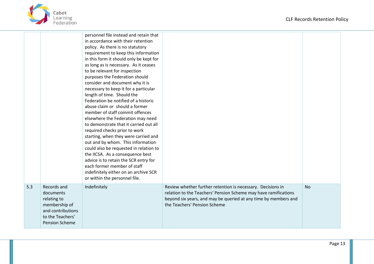

|     |                                                                                                                     | personnel file instead and retain that<br>in accordance with their retention<br>policy. As there is no statutory<br>requirement to keep this information<br>in this form it should only be kept for<br>as long as is necessary. As it ceases<br>to be relevant for inspection<br>purposes the Federation should<br>consider and document why it is<br>necessary to keep it for a particular<br>length of time. Should the<br>Federation be notified of a historic<br>abuse claim or should a former<br>member of staff commit offences<br>elsewhere the Federation may need<br>to demonstrate that it carried out all<br>required checks prior to work<br>starting, when they were carried and<br>out and by whom. This information<br>could also be requested in relation to<br>the IICSA. As a consequence best<br>advice is to retain the SCR entry for<br>each former member of staff<br>indefinitely either on an archive SCR<br>or within the personnel file. |                                                                                                                                                                                                                                   |           |
|-----|---------------------------------------------------------------------------------------------------------------------|---------------------------------------------------------------------------------------------------------------------------------------------------------------------------------------------------------------------------------------------------------------------------------------------------------------------------------------------------------------------------------------------------------------------------------------------------------------------------------------------------------------------------------------------------------------------------------------------------------------------------------------------------------------------------------------------------------------------------------------------------------------------------------------------------------------------------------------------------------------------------------------------------------------------------------------------------------------------|-----------------------------------------------------------------------------------------------------------------------------------------------------------------------------------------------------------------------------------|-----------|
| 5.3 | Records and<br>documents<br>relating to<br>membership of<br>and contributions<br>to the Teachers'<br>Pension Scheme | Indefinitely                                                                                                                                                                                                                                                                                                                                                                                                                                                                                                                                                                                                                                                                                                                                                                                                                                                                                                                                                        | Review whether further retention is necessary. Decisions in<br>relation to the Teachers' Pension Scheme may have ramifications<br>beyond six years, and may be queried at any time by members and<br>the Teachers' Pension Scheme | <b>No</b> |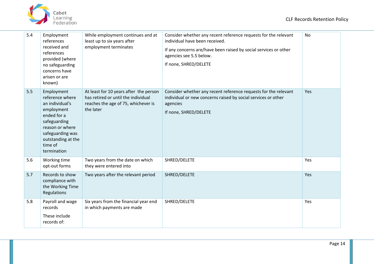



| 5.4 | Employment<br>references<br>received and<br>references<br>provided (where<br>no safeguarding<br>concerns have<br>arisen or are<br>known)                                             | While employment continues and at<br>least up to six years after<br>employment terminates                                         | Consider whether any recent reference requests for the relevant<br>individual have been received.<br>If any concerns are/have been raised by social services or other<br>agencies see 5.5 below.<br>If none, SHRED/DELETE | <b>No</b> |
|-----|--------------------------------------------------------------------------------------------------------------------------------------------------------------------------------------|-----------------------------------------------------------------------------------------------------------------------------------|---------------------------------------------------------------------------------------------------------------------------------------------------------------------------------------------------------------------------|-----------|
| 5.5 | Employment<br>reference where<br>an individual's<br>employment<br>ended for a<br>safeguarding<br>reason or where<br>safeguarding was<br>outstanding at the<br>time of<br>termination | At least for 10 years after the person<br>has retired or until the individual<br>reaches the age of 75, whichever is<br>the later | Consider whether any recent reference requests for the relevant<br>individual or new concerns raised by social services or other<br>agencies<br>If none, SHRED/DELETE                                                     | Yes       |
| 5.6 | Working time<br>opt-out forms                                                                                                                                                        | Two years from the date on which<br>they were entered into                                                                        | SHRED/DELETE                                                                                                                                                                                                              | Yes       |
| 5.7 | Records to show<br>compliance with<br>the Working Time<br>Regulations                                                                                                                | Two years after the relevant period                                                                                               | SHRED/DELETE                                                                                                                                                                                                              | Yes       |
| 5.8 | Payroll and wage<br>records<br>These include<br>records of:                                                                                                                          | Six years from the financial year end<br>in which payments are made                                                               | SHRED/DELETE                                                                                                                                                                                                              | Yes       |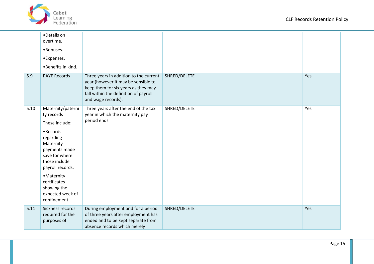

|      | •Details on<br>overtime.<br>·Bonuses.<br>•Expenses.<br>•Benefits in kind.                                                                                                                                                                         |                                                                                                                                                                                     |              |     |
|------|---------------------------------------------------------------------------------------------------------------------------------------------------------------------------------------------------------------------------------------------------|-------------------------------------------------------------------------------------------------------------------------------------------------------------------------------------|--------------|-----|
| 5.9  | <b>PAYE Records</b>                                                                                                                                                                                                                               | Three years in addition to the current<br>year (however it may be sensible to<br>keep them for six years as they may<br>fall within the definition of payroll<br>and wage records). | SHRED/DELETE | Yes |
| 5.10 | Maternity/paterni<br>ty records<br>These include:<br>• Records<br>regarding<br>Maternity<br>payments made<br>save for where<br>those include<br>payroll records.<br>• Maternity<br>certificates<br>showing the<br>expected week of<br>confinement | Three years after the end of the tax<br>year in which the maternity pay<br>period ends                                                                                              | SHRED/DELETE | Yes |
| 5.11 | Sickness records<br>required for the<br>purposes of                                                                                                                                                                                               | During employment and for a period<br>of three years after employment has<br>ended and to be kept separate from<br>absence records which merely                                     | SHRED/DELETE | Yes |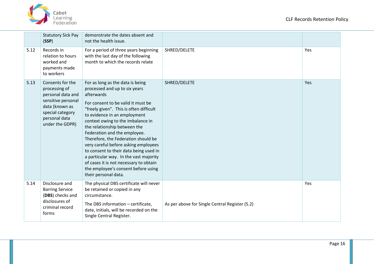

|      | <b>Statutory Sick Pay</b><br>(SSP)                                                                                                                     | demonstrate the dates absent and<br>not the health issue.                                                                                                                                                                                                                                                                                                                                                                                                                                                                                                                         |                                                |     |
|------|--------------------------------------------------------------------------------------------------------------------------------------------------------|-----------------------------------------------------------------------------------------------------------------------------------------------------------------------------------------------------------------------------------------------------------------------------------------------------------------------------------------------------------------------------------------------------------------------------------------------------------------------------------------------------------------------------------------------------------------------------------|------------------------------------------------|-----|
| 5.12 | Records in<br>relation to hours<br>worked and<br>payments made<br>to workers                                                                           | For a period of three years beginning<br>with the last day of the following<br>month to which the records relate                                                                                                                                                                                                                                                                                                                                                                                                                                                                  | SHRED/DELETE                                   | Yes |
| 5.13 | Consents for the<br>processing of<br>personal data and<br>sensitive personal<br>data (known as<br>special category<br>personal data<br>under the GDPR) | For as long as the data is being<br>processed and up to six years<br>afterwards<br>For consent to be valid it must be<br>"freely given". This is often difficult<br>to evidence in an employment<br>context owing to the imbalance in<br>the relationship between the<br>Federation and the employee.<br>Therefore, the Federation should be<br>very careful before asking employees<br>to consent to their data being used in<br>a particular way. In the vast majority<br>of cases it is not necessary to obtain<br>the employee's consent before using<br>their personal data. | SHRED/DELETE                                   | Yes |
| 5.14 | Disclosure and<br><b>Barring Service</b><br>(DBS) checks and<br>disclosures of<br>criminal record<br>forms                                             | The physical DBS certificate will never<br>be retained or copied in any<br>circumstance.<br>The DBS information - certificate,<br>date, initials, will be recorded on the<br>Single Central Register.                                                                                                                                                                                                                                                                                                                                                                             | As per above for Single Central Register (5.2) | Yes |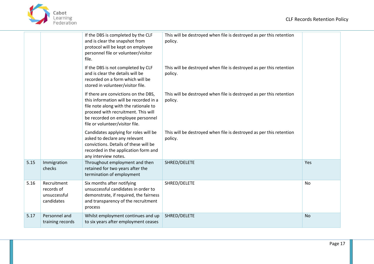

|      |                                                         | If the DBS is completed by the CLF<br>and is clear the snapshot from<br>protocol will be kept on employee<br>personnel file or volunteer/visitor<br>file.                                                                              | This will be destroyed when file is destroyed as per this retention<br>policy. |           |
|------|---------------------------------------------------------|----------------------------------------------------------------------------------------------------------------------------------------------------------------------------------------------------------------------------------------|--------------------------------------------------------------------------------|-----------|
|      |                                                         | If the DBS is not completed by CLF<br>and is clear the details will be<br>recorded on a form which will be<br>stored in volunteer/visitor file.                                                                                        | This will be destroyed when file is destroyed as per this retention<br>policy. |           |
|      |                                                         | If there are convictions on the DBS,<br>this information will be recorded in a<br>file note along with the rationale to<br>proceed with recruitment. This will<br>be recorded on employee personnel<br>file or volunteer/visitor file. | This will be destroyed when file is destroyed as per this retention<br>policy. |           |
|      |                                                         | Candidates applying for roles will be<br>asked to declare any relevant<br>convictions. Details of these will be<br>recorded in the application form and<br>any interview notes.                                                        | This will be destroyed when file is destroyed as per this retention<br>policy. |           |
| 5.15 | Immigration<br>checks                                   | Throughout employment and then<br>retained for two years after the<br>termination of employment                                                                                                                                        | SHRED/DELETE                                                                   | Yes       |
| 5.16 | Recruitment<br>records of<br>unsuccessful<br>candidates | Six months after notifying<br>unsuccessful candidates in order to<br>demonstrate, if required, the fairness<br>and transparency of the recruitment<br>process                                                                          | SHRED/DELETE                                                                   | No        |
| 5.17 | Personnel and<br>training records                       | Whilst employment continues and up<br>to six years after employment ceases                                                                                                                                                             | SHRED/DELETE                                                                   | <b>No</b> |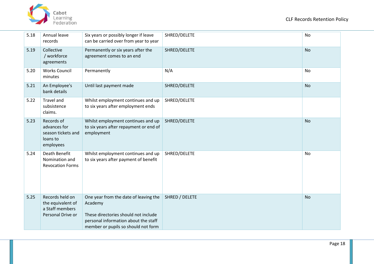

| 5.18 | Annual leave<br>records                                                      | Six years or possibly longer if leave<br>can be carried over from year to year                                                                                          | SHRED/DELETE   | No        |
|------|------------------------------------------------------------------------------|-------------------------------------------------------------------------------------------------------------------------------------------------------------------------|----------------|-----------|
| 5.19 | Collective<br>/ workforce<br>agreements                                      | Permanently or six years after the<br>agreement comes to an end                                                                                                         | SHRED/DELETE   | <b>No</b> |
| 5.20 | <b>Works Council</b><br>minutes                                              | Permanently                                                                                                                                                             | N/A            | <b>No</b> |
| 5.21 | An Employee's<br>bank details                                                | Until last payment made                                                                                                                                                 | SHRED/DELETE   | <b>No</b> |
| 5.22 | <b>Travel and</b><br>subsistence<br>claims.                                  | Whilst employment continues and up<br>to six years after employment ends                                                                                                | SHRED/DELETE   |           |
| 5.23 | Records of<br>advances for<br>season tickets and<br>loans to<br>employees    | Whilst employment continues and up<br>to six years after repayment or end of<br>employment                                                                              | SHRED/DELETE   | <b>No</b> |
| 5.24 | Death Benefit<br>Nomination and<br><b>Revocation Forms</b>                   | Whilst employment continues and up<br>to six years after payment of benefit                                                                                             | SHRED/DELETE   | <b>No</b> |
| 5.25 | Records held on<br>the equivalent of<br>a Staff members<br>Personal Drive or | One year from the date of leaving the<br>Academy<br>These directories should not include<br>personal information about the staff<br>member or pupils so should not form | SHRED / DELETE | <b>No</b> |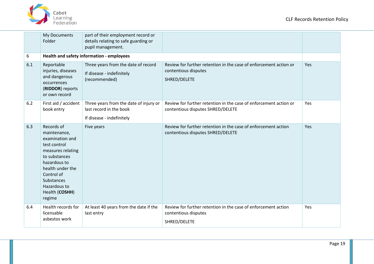

<span id="page-18-0"></span>

|     | My Documents<br>Folder                                                                                                                                                                                          | part of their employment record or<br>details relating to safe guarding or<br>pupil management. |                                                                                                           |     |
|-----|-----------------------------------------------------------------------------------------------------------------------------------------------------------------------------------------------------------------|-------------------------------------------------------------------------------------------------|-----------------------------------------------------------------------------------------------------------|-----|
| 6   |                                                                                                                                                                                                                 | Health and safety information - employees                                                       |                                                                                                           |     |
| 6.1 | Reportable<br>injuries, diseases<br>and dangerous<br>occurrences<br>(RIDDOR) reports<br>or own record                                                                                                           | Three years from the date of record<br>If disease - indefinitely<br>(recommended)               | Review for further retention in the case of enforcement action or<br>contentious disputes<br>SHRED/DELETE | Yes |
| 6.2 | First aid / accident<br>book entry                                                                                                                                                                              | Three years from the date of injury or<br>last record in the book<br>If disease - indefinitely  | Review for further retention in the case of enforcement action or<br>contentious disputes SHRED/DELETE    | Yes |
| 6.3 | Records of<br>maintenance,<br>examination and<br>test control<br>measures relating<br>to substances<br>hazardous to<br>health under the<br>Control of<br>Substances<br>Hazardous to<br>Health (COSHH)<br>regime | Five years                                                                                      | Review for further retention in the case of enforcement action<br>contentious disputes SHRED/DELETE       | Yes |
| 6.4 | Health records for<br>licensable<br>asbestos work                                                                                                                                                               | At least 40 years from the date if the<br>last entry                                            | Review for further retention in the case of enforcement action<br>contentious disputes<br>SHRED/DELETE    | Yes |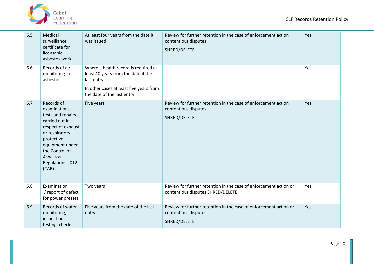



| 6.5 | Medical<br>surveillance<br>certificate for<br>licensable<br>asbestos work                                                                                                                              | At least four years from the date it<br>was issued                                                                                                                 | Review for further retention in the case of enforcement action<br>contentious disputes<br>SHRED/DELETE    | Yes |
|-----|--------------------------------------------------------------------------------------------------------------------------------------------------------------------------------------------------------|--------------------------------------------------------------------------------------------------------------------------------------------------------------------|-----------------------------------------------------------------------------------------------------------|-----|
| 6.6 | Records of air<br>monitoring for<br>asbestos                                                                                                                                                           | Where a health record is required at<br>least 40 years from the date if the<br>last entry<br>In other cases at least five years from<br>the date of the last entry |                                                                                                           | Yes |
| 6.7 | Records of<br>examinations,<br>tests and repairs<br>carried out in<br>respect of exhaust<br>or respiratory<br>protective<br>equipment under<br>the Control of<br>Asbestos<br>Regulations 2012<br>(CAR) | Five years                                                                                                                                                         | Review for further retention in the case of enforcement action<br>contentious disputes<br>SHRED/DELETE    | Yes |
| 6.8 | Examination<br>/ report of defect<br>for power presses                                                                                                                                                 | Two years                                                                                                                                                          | Review for further retention in the case of enforcement action or<br>contentious disputes SHRED/DELETE    | Yes |
| 6.9 | Records of water<br>monitoring,<br>inspection,<br>testing, checks                                                                                                                                      | Five years from the date of the last<br>entry                                                                                                                      | Review for further retention in the case of enforcement action or<br>contentious disputes<br>SHRED/DELETE | Yes |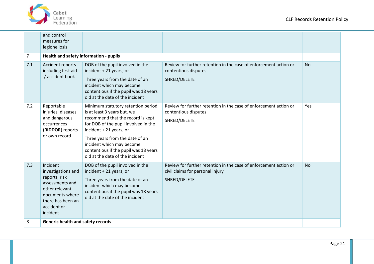

|                | and control<br>measures for<br>legionellosis                                                                                                            |                                                                                                                                                                                                                                                                                                                       |                                                                                                                       |           |  |
|----------------|---------------------------------------------------------------------------------------------------------------------------------------------------------|-----------------------------------------------------------------------------------------------------------------------------------------------------------------------------------------------------------------------------------------------------------------------------------------------------------------------|-----------------------------------------------------------------------------------------------------------------------|-----------|--|
| $\overline{7}$ | Health and safety information - pupils                                                                                                                  |                                                                                                                                                                                                                                                                                                                       |                                                                                                                       |           |  |
| 7.1            | Accident reports<br>including first aid<br>/ accident book                                                                                              | DOB of the pupil involved in the<br>incident + 21 years; or<br>Three years from the date of an<br>incident which may become<br>contentious if the pupil was 18 years<br>old at the date of the incident                                                                                                               | Review for further retention in the case of enforcement action or<br>contentious disputes<br>SHRED/DELETE             | <b>No</b> |  |
| 7.2            | Reportable<br>injuries, diseases<br>and dangerous<br>occurrences<br>(RIDDOR) reports<br>or own record                                                   | Minimum statutory retention period<br>is at least 3 years but, we<br>recommend that the record is kept<br>for DOB of the pupil involved in the<br>incident + 21 years; or<br>Three years from the date of an<br>incident which may become<br>contentious if the pupil was 18 years<br>old at the date of the incident | Review for further retention in the case of enforcement action or<br>contentious disputes<br>SHRED/DELETE             | Yes       |  |
| 7.3            | Incident<br>investigations and<br>reports, risk<br>assessments and<br>other relevant<br>documents where<br>there has been an<br>accident or<br>incident | DOB of the pupil involved in the<br>incident + 21 years; or<br>Three years from the date of an<br>incident which may become<br>contentious if the pupil was 18 years<br>old at the date of the incident                                                                                                               | Review for further retention in the case of enforcement action or<br>civil claims for personal injury<br>SHRED/DELETE | <b>No</b> |  |
| 8              | <b>Generic health and safety records</b>                                                                                                                |                                                                                                                                                                                                                                                                                                                       |                                                                                                                       |           |  |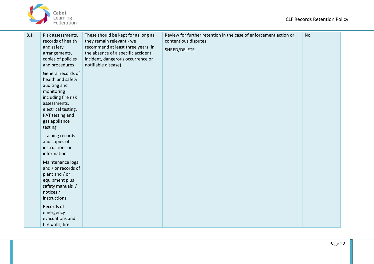

| 8.1 | Risk assessments,<br>records of health<br>and safety<br>arrangements,<br>copies of policies<br>and procedures                                                                      | These should be kept for as long as<br>they remain relevant - we<br>recommend at least three years (in<br>the absence of a specific accident,<br>incident, dangerous occurrence or<br>notifiable disease) | Review for further retention in the case of enforcement action or<br>contentious disputes<br>SHRED/DELETE | <b>No</b> |
|-----|------------------------------------------------------------------------------------------------------------------------------------------------------------------------------------|-----------------------------------------------------------------------------------------------------------------------------------------------------------------------------------------------------------|-----------------------------------------------------------------------------------------------------------|-----------|
|     | General records of<br>health and safety<br>auditing and<br>monitoring<br>including fire risk<br>assessments,<br>electrical testing,<br>PAT testing and<br>gas appliance<br>testing |                                                                                                                                                                                                           |                                                                                                           |           |
|     | Training records<br>and copies of<br>instructions or<br>information                                                                                                                |                                                                                                                                                                                                           |                                                                                                           |           |
|     | Maintenance logs<br>and / or records of<br>plant and / or<br>equipment plus<br>safety manuals /<br>notices /<br>instructions                                                       |                                                                                                                                                                                                           |                                                                                                           |           |
|     | Records of<br>emergency<br>evacuations and<br>fire drills, fire                                                                                                                    |                                                                                                                                                                                                           |                                                                                                           |           |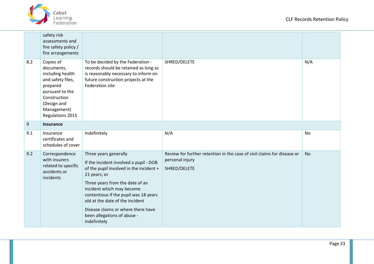

|     | safety risk<br>assessments and<br>fire safety policy /<br>fire arrangements                                                                                       |                                                                                                                                                                                                                                                                                                                                                             |                                                                                                            |           |
|-----|-------------------------------------------------------------------------------------------------------------------------------------------------------------------|-------------------------------------------------------------------------------------------------------------------------------------------------------------------------------------------------------------------------------------------------------------------------------------------------------------------------------------------------------------|------------------------------------------------------------------------------------------------------------|-----------|
| 8.2 | Copies of<br>documents,<br>including health<br>and safety files,<br>prepared<br>pursuant to the<br>Construction<br>(Design and<br>Management)<br>Regulations 2015 | To be decided by the Federation -<br>records should be retained as long as<br>is reasonably necessary to inform on<br>future construction projects at the<br>Federation site                                                                                                                                                                                | SHRED/DELETE                                                                                               | N/A       |
| 9   | <b>Insurance</b>                                                                                                                                                  |                                                                                                                                                                                                                                                                                                                                                             |                                                                                                            |           |
| 9.1 | Insurance<br>certificates and<br>schedules of cover                                                                                                               | Indefinitely                                                                                                                                                                                                                                                                                                                                                | N/A                                                                                                        | No        |
| 9.2 | Correspondence<br>with insurers<br>related to specific<br>accidents or<br>incidents                                                                               | Three years generally<br>If the incident involved a pupil - DOB<br>of the pupil involved in the incident +<br>21 years; or<br>Three years from the date of an<br>incident which may become<br>contentious if the pupil was 18 years<br>old at the date of the incident<br>Disease claims or where there have<br>been allegations of abuse -<br>indefinitely | Review for further retention in the case of civil claims for disease or<br>personal injury<br>SHRED/DELETE | <b>No</b> |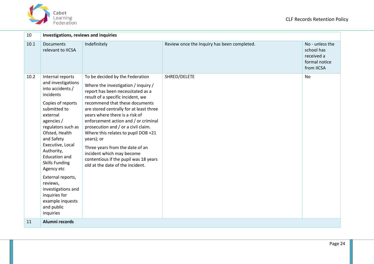

| 10   | Investigations, reviews and inquiries                                                                                                                                                                                                                                                                                                                                                                                |                                                                                                                                                                                                                                                                                                                                                                                                                                                                                                                                                  |                                             |                                                                            |  |
|------|----------------------------------------------------------------------------------------------------------------------------------------------------------------------------------------------------------------------------------------------------------------------------------------------------------------------------------------------------------------------------------------------------------------------|--------------------------------------------------------------------------------------------------------------------------------------------------------------------------------------------------------------------------------------------------------------------------------------------------------------------------------------------------------------------------------------------------------------------------------------------------------------------------------------------------------------------------------------------------|---------------------------------------------|----------------------------------------------------------------------------|--|
| 10.1 | <b>Documents</b><br>relevant to IICSA                                                                                                                                                                                                                                                                                                                                                                                | Indefinitely                                                                                                                                                                                                                                                                                                                                                                                                                                                                                                                                     | Review once the Inquiry has been completed. | No - unless the<br>school has<br>received a<br>formal notice<br>from IICSA |  |
| 10.2 | Internal reports<br>and investigations<br>into accidents /<br>incidents<br>Copies of reports<br>submitted to<br>external<br>agencies /<br>regulators such as<br>Ofsted, Health<br>and Safety<br>Executive, Local<br>Authority,<br><b>Education and</b><br><b>Skills Funding</b><br>Agency etc<br>External reports,<br>reviews,<br>investigations and<br>inquiries for<br>example inquests<br>and public<br>inquiries | To be decided by the Federation<br>Where the investigation / inquiry /<br>report has been necessitated as a<br>result of a specific incident, we<br>recommend that these documents<br>are stored centrally for at least three<br>years where there is a risk of<br>enforcement action and / or criminal<br>prosecution and / or a civil claim.<br>Where this relates to pupil DOB +21<br>years); or<br>Three years from the date of an<br>incident which may become<br>contentious if the pupil was 18 years<br>old at the date of the incident. | SHRED/DELETE                                | <b>No</b>                                                                  |  |
| 11   | Alumni records                                                                                                                                                                                                                                                                                                                                                                                                       |                                                                                                                                                                                                                                                                                                                                                                                                                                                                                                                                                  |                                             |                                                                            |  |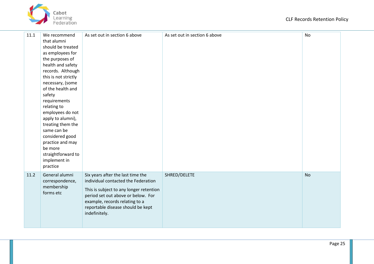

| 11.1 | We recommend                                                                                                                                                                                                                                                                                                                                                                                                 | As set out in section 6 above                                                                                                                                                                                                                     | As set out in section 6 above | <b>No</b> |
|------|--------------------------------------------------------------------------------------------------------------------------------------------------------------------------------------------------------------------------------------------------------------------------------------------------------------------------------------------------------------------------------------------------------------|---------------------------------------------------------------------------------------------------------------------------------------------------------------------------------------------------------------------------------------------------|-------------------------------|-----------|
|      | that alumni<br>should be treated<br>as employees for<br>the purposes of<br>health and safety<br>records. Although<br>this is not strictly<br>necessary, (some<br>of the health and<br>safety<br>requirements<br>relating to<br>employees do not<br>apply to alumni),<br>treating them the<br>same can be<br>considered good<br>practice and may<br>be more<br>straightforward to<br>implement in<br>practice |                                                                                                                                                                                                                                                   |                               |           |
| 11.2 | General alumni<br>correspondence,<br>membership<br>forms etc                                                                                                                                                                                                                                                                                                                                                 | Six years after the last time the<br>individual contacted the Federation<br>This is subject to any longer retention<br>period set out above or below. For<br>example, records relating to a<br>reportable disease should be kept<br>indefinitely. | SHRED/DELETE                  | <b>No</b> |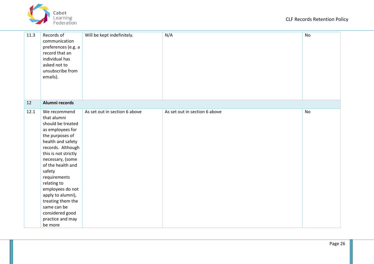

| 11.3 | Records of<br>communication<br>preferences (e.g. a<br>record that an<br>individual has<br>asked not to<br>unsubscribe from<br>emails).                                                                                                                                                                                                                                     | Will be kept indefinitely.    | N/A                           | No |
|------|----------------------------------------------------------------------------------------------------------------------------------------------------------------------------------------------------------------------------------------------------------------------------------------------------------------------------------------------------------------------------|-------------------------------|-------------------------------|----|
| 12   | Alumni records                                                                                                                                                                                                                                                                                                                                                             |                               |                               |    |
| 12.1 | We recommend<br>that alumni<br>should be treated<br>as employees for<br>the purposes of<br>health and safety<br>records. Although<br>this is not strictly<br>necessary, (some<br>of the health and<br>safety<br>requirements<br>relating to<br>employees do not<br>apply to alumni),<br>treating them the<br>same can be<br>considered good<br>practice and may<br>be more | As set out in section 6 above | As set out in section 6 above | No |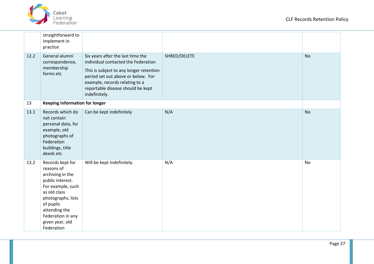

|      | straightforward to<br>implement in<br>practice                                                                                                                                                                        |                                                                                                                                                                                                                                                   |              |           |
|------|-----------------------------------------------------------------------------------------------------------------------------------------------------------------------------------------------------------------------|---------------------------------------------------------------------------------------------------------------------------------------------------------------------------------------------------------------------------------------------------|--------------|-----------|
| 12.2 | General alumni<br>correspondence,<br>membership<br>forms etc                                                                                                                                                          | Six years after the last time the<br>individual contacted the Federation<br>This is subject to any longer retention<br>period set out above or below. For<br>example, records relating to a<br>reportable disease should be kept<br>indefinitely. | SHRED/DELETE | <b>No</b> |
| 13   | <b>Keeping information for longer</b>                                                                                                                                                                                 |                                                                                                                                                                                                                                                   |              |           |
| 13.1 | Records which do<br>not contain<br>personal data, for<br>example, old<br>photographs of<br>Federation<br>buildings, title<br>deeds etc                                                                                | Can be kept indefinitely                                                                                                                                                                                                                          | N/A          | <b>No</b> |
| 13.2 | Records kept for<br>reasons of<br>archiving in the<br>public interest.<br>For example, such<br>as old class<br>photographs, lists<br>of pupils<br>attending the<br>Federation in any<br>given year, old<br>Federation | Will be kept indefinitely.                                                                                                                                                                                                                        | N/A          | No        |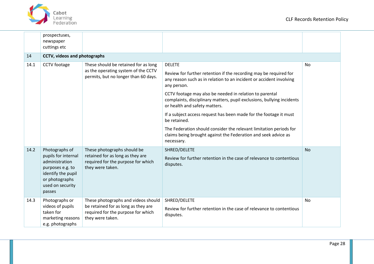

|      | prospectuses,<br>newspaper<br>cuttings etc                                                                                                        |                                                                                                                                      |                                                                                                                                                                                                                                                                                                                                                                                                                                                                                                                                                                                           |           |
|------|---------------------------------------------------------------------------------------------------------------------------------------------------|--------------------------------------------------------------------------------------------------------------------------------------|-------------------------------------------------------------------------------------------------------------------------------------------------------------------------------------------------------------------------------------------------------------------------------------------------------------------------------------------------------------------------------------------------------------------------------------------------------------------------------------------------------------------------------------------------------------------------------------------|-----------|
| 14   | <b>CCTV, videos and photographs</b>                                                                                                               |                                                                                                                                      |                                                                                                                                                                                                                                                                                                                                                                                                                                                                                                                                                                                           |           |
| 14.1 | CCTV footage                                                                                                                                      | These should be retained for as long<br>as the operating system of the CCTV<br>permits, but no longer than 60 days.                  | <b>DELETE</b><br>Review for further retention if the recording may be required for<br>any reason such as in relation to an incident or accident involving<br>any person.<br>CCTV footage may also be needed in relation to parental<br>complaints, disciplinary matters, pupil exclusions, bullying incidents<br>or health and safety matters.<br>If a subject access request has been made for the footage it must<br>be retained.<br>The Federation should consider the relevant limitation periods for<br>claims being brought against the Federation and seek advice as<br>necessary. | No        |
| 14.2 | Photographs of<br>pupils for internal<br>administration<br>purposes e.g. to<br>identify the pupil<br>or photographs<br>used on security<br>passes | These photographs should be<br>retained for as long as they are<br>required for the purpose for which<br>they were taken.            | SHRED/DELETE<br>Review for further retention in the case of relevance to contentious<br>disputes.                                                                                                                                                                                                                                                                                                                                                                                                                                                                                         | <b>No</b> |
| 14.3 | Photographs or<br>videos of pupils<br>taken for<br>marketing reasons<br>e.g. photographs                                                          | These photographs and videos should<br>be retained for as long as they are<br>required for the purpose for which<br>they were taken. | SHRED/DELETE<br>Review for further retention in the case of relevance to contentious<br>disputes.                                                                                                                                                                                                                                                                                                                                                                                                                                                                                         | No        |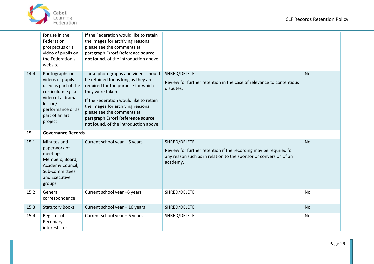

|      | for use in the<br>Federation<br>prospectus or a<br>video of pupils on<br>the Federation's<br>website                                                            | If the Federation would like to retain<br>the images for archiving reasons<br>please see the comments at<br>paragraph Error! Reference source<br>not found, of the introduction above.                                                                                                                                         |                                                                                                                                                                    |           |  |
|------|-----------------------------------------------------------------------------------------------------------------------------------------------------------------|--------------------------------------------------------------------------------------------------------------------------------------------------------------------------------------------------------------------------------------------------------------------------------------------------------------------------------|--------------------------------------------------------------------------------------------------------------------------------------------------------------------|-----------|--|
| 14.4 | Photographs or<br>videos of pupils<br>used as part of the<br>curriculum e.g. a<br>video of a drama<br>lesson/<br>performance or as<br>part of an art<br>project | These photographs and videos should<br>be retained for as long as they are<br>required for the purpose for which<br>they were taken.<br>If the Federation would like to retain<br>the images for archiving reasons<br>please see the comments at<br>paragraph Error! Reference source<br>not found. of the introduction above. | SHRED/DELETE<br>Review for further retention in the case of relevance to contentious<br>disputes.                                                                  | <b>No</b> |  |
| 15   | <b>Governance Records</b>                                                                                                                                       |                                                                                                                                                                                                                                                                                                                                |                                                                                                                                                                    |           |  |
| 15.1 | Minutes and<br>paperwork of<br>meetings:<br>Members, Board,<br>Academy Council,<br>Sub-committees<br>and Executive<br>groups                                    | Current school year + 6 years                                                                                                                                                                                                                                                                                                  | SHRED/DELETE<br>Review for further retention if the recording may be required for<br>any reason such as in relation to the sponsor or conversion of an<br>academy. | <b>No</b> |  |
| 15.2 | General<br>correspondence                                                                                                                                       | Current school year +6 years                                                                                                                                                                                                                                                                                                   | SHRED/DELETE                                                                                                                                                       | <b>No</b> |  |
| 15.3 | <b>Statutory Books</b>                                                                                                                                          | Current school year + 10 years                                                                                                                                                                                                                                                                                                 | SHRED/DELETE                                                                                                                                                       | <b>No</b> |  |
| 15.4 | Register of<br>Pecuniary<br>interests for                                                                                                                       | Current school year + 6 years                                                                                                                                                                                                                                                                                                  | SHRED/DELETE                                                                                                                                                       | No        |  |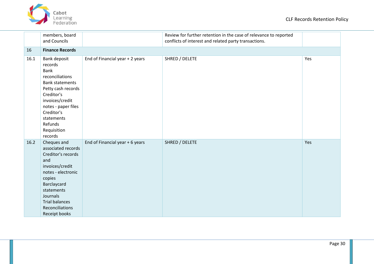

|      | members, board<br>and Councils                                                                                                                                                                                                            |                                 | Review for further retention in the case of relevance to reported<br>conflicts of interest and related party transactions. |     |  |  |
|------|-------------------------------------------------------------------------------------------------------------------------------------------------------------------------------------------------------------------------------------------|---------------------------------|----------------------------------------------------------------------------------------------------------------------------|-----|--|--|
| 16   | <b>Finance Records</b>                                                                                                                                                                                                                    |                                 |                                                                                                                            |     |  |  |
| 16.1 | <b>Bank deposit</b><br>records<br><b>Bank</b><br>reconciliations<br><b>Bank statements</b><br>Petty cash records<br>Creditor's<br>invoices/credit<br>notes - paper files<br>Creditor's<br>statements<br>Refunds<br>Requisition<br>records | End of Financial year + 2 years | SHRED / DELETE                                                                                                             | Yes |  |  |
| 16.2 | Cheques and<br>associated records<br>Creditor's records<br>and<br>invoices/credit<br>notes - electronic<br>copies<br>Barclaycard<br>statements<br>Journals<br><b>Trial balances</b><br>Reconciliations<br>Receipt books                   | End of Financial year + 6 years | SHRED / DELETE                                                                                                             | Yes |  |  |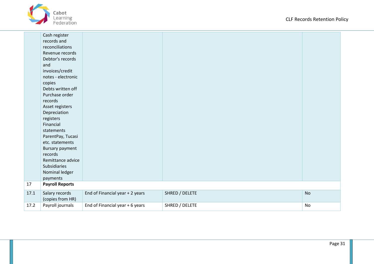

|      | Cash register<br>records and<br>reconciliations<br>Revenue records |                                 |                |           |
|------|--------------------------------------------------------------------|---------------------------------|----------------|-----------|
|      | Debtor's records                                                   |                                 |                |           |
|      | and                                                                |                                 |                |           |
|      | invoices/credit                                                    |                                 |                |           |
|      | notes - electronic                                                 |                                 |                |           |
|      | copies                                                             |                                 |                |           |
|      | Debts written off                                                  |                                 |                |           |
|      | Purchase order                                                     |                                 |                |           |
|      | records                                                            |                                 |                |           |
|      | Asset registers                                                    |                                 |                |           |
|      | Depreciation                                                       |                                 |                |           |
|      | registers                                                          |                                 |                |           |
|      | Financial                                                          |                                 |                |           |
|      | statements                                                         |                                 |                |           |
|      | ParentPay, Tucasi                                                  |                                 |                |           |
|      | etc. statements                                                    |                                 |                |           |
|      | <b>Bursary payment</b>                                             |                                 |                |           |
|      | records                                                            |                                 |                |           |
|      | Remittance advice                                                  |                                 |                |           |
|      | Subsidiaries                                                       |                                 |                |           |
|      | Nominal ledger<br>payments                                         |                                 |                |           |
| 17   | <b>Payroll Reports</b>                                             |                                 |                |           |
|      |                                                                    |                                 |                |           |
| 17.1 | Salary records<br>(copies from HR)                                 | End of Financial year + 2 years | SHRED / DELETE | <b>No</b> |
| 17.2 | Payroll journals                                                   | End of Financial year + 6 years | SHRED / DELETE | No        |